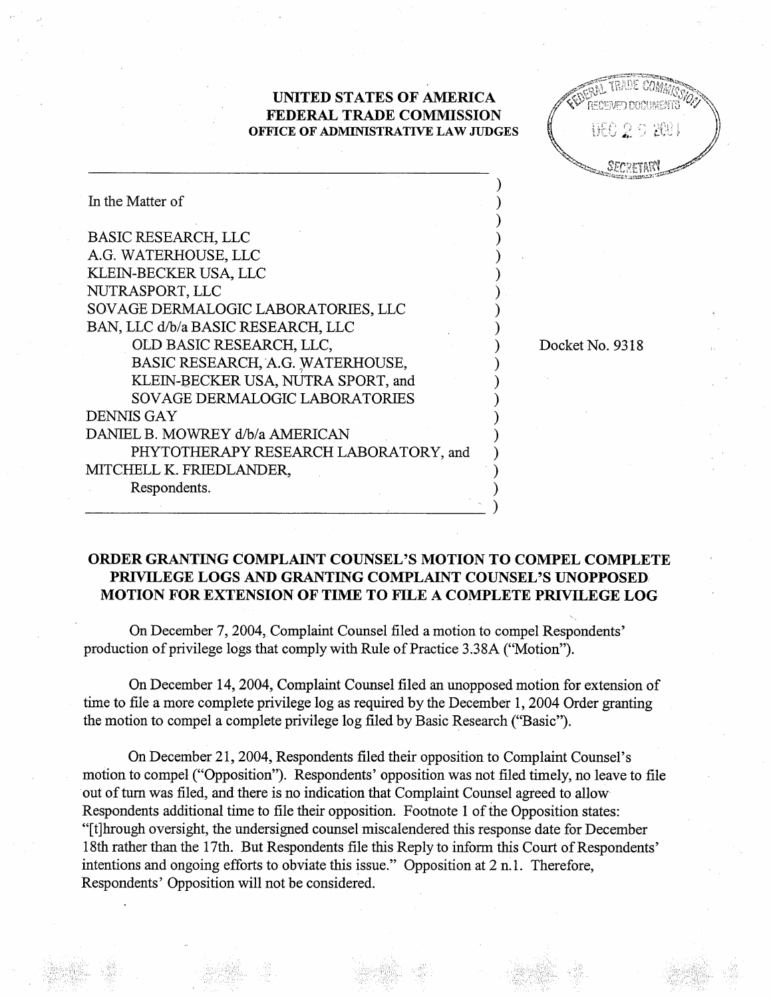## UNITED STATES OF AMERICA FEDERAL TRADE COMMISSION OFFICE OF ADMINISTRATIVE LAW JUDGES

Docket No. 9318

| In the Matter of                      |
|---------------------------------------|
| <b>BASIC RESEARCH, LLC</b>            |
| A.G. WATERHOUSE, LLC                  |
| KLEIN-BECKER USA, LLC                 |
| NUTRASPORT, LLC                       |
| SOVAGE DERMALOGIC LABORATORIES, LLC   |
| BAN, LLC d/b/a BASIC RESEARCH, LLC    |
| OLD BASIC RESEARCH, LLC,              |
| BASIC RESEARCH, A.G. WATERHOUSE,      |
| KLEIN-BECKER USA, NUTRA SPORT, and    |
| <b>SOVAGE DERMALOGIC LABORATORIES</b> |
| DENNIS GAY                            |
| DANIEL B. MOWREY d/b/a AMERICAN       |
| PHYTOTHERAPY RESEARCH LABORATORY, and |
| MITCHELL K. FRIEDLANDER,              |
| Respondents.                          |
|                                       |

## ORDER GRATING COMPLAINT COUNSEL'S MOTION TO COMPEL COMPLETE PRIVILEGE LOGS AND GRANTING COMPLAINT COUNSEL'S UNOPPOSED MOTION FOR EXTENSION OF TIME TO FILE A COMPLETE PRIVILEGE LOG

On December 7, 2004, Complaint Counsel filed a motion to compel Respondents production of privilege logs that comply with Rule of Practice 3.38A ("Motion

On December 14, 2004, Complaint Counsel filed an unopposed motion for extension of time to file a more complete privilege log as required by the December 1, 2004 Order granting the motion to compel a complete privilege log filed by Basic Research ("Basic

On December 21 2004, Respondents filed their opposition to Complaint Counsel' motion to compel ("Opposition"). Respondents' opposition was not filed timely, no leave to file out of turn was filed, and there is no indication that Complaint Counsel agreed to allow Respondents additional time to file their opposition. Footnote 1 of the Opposition states: (tJhrough oversight, the undersigned counsel miscalendered this response date for December 18th rather than the 17th. But Respondents file this Reply to inform this Court of Respondents' intentions and ongoing efforts to obviate this issue." Opposition at 2 n.1. Therefore, Respondents' Opposition will not be considered.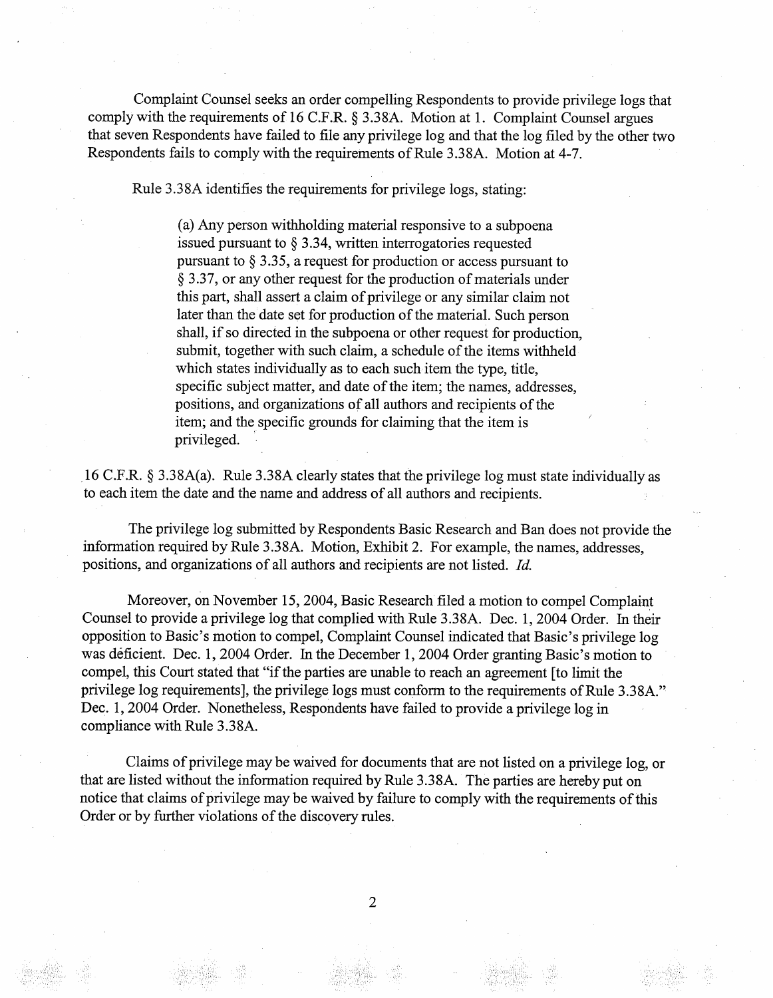Complaint Counsel seeks an order compelling Respondents to provide privilege logs that comply with the requirements of 16 C.F.R.  $\S$  3.38A. Motion at 1. Complaint Counsel argues that seven Respondents have failed to file any privilege log and that the log fied by the other two Respondents fails to comply with the requirements of Rule 3.38A. Motion at 4-

Rule 3.38A identifies the requirements for privilege logs, stating:

(a) Any person withholding material responsive to a subpoena issued pursuant to  $\S$  3.34, written interrogatories requested pursuant to  $\S 3.35$ , a request for production or access pursuant to  $\S$  3.37, or any other request for the production of materials under this part, shall assert a claim of privilege or any similar claim not later than thc date set for production of the material. Such person shall, if so directed in the subpoena or other request for production submit, together with such claim, a schedule of the items withheld which states individually as to each such item the type, title, specific subject matter, and date of the item; the names, addresses positions, and organizations of all authors and recipients of the item; and the specific grounds for claiming that the item is privileged.

16 C.F.R.  $\S$  3.38A(a). Rule 3.38A clearly states that the privilege log must state individually as to each item the date and the name and address of all authors and recipients.

The privilege log submitted by Respondents Basic Research and Ban does not provide the information required by Rule 3.38A. Motion, Exhibit 2. For example, the names, addresses positions, and organizations of all authors and recipients are not listed. Id.

Moreover, on November 15, 2004, Basic Research filed a motion to compel Complaint Counsel to provide a privilege log that complied with Rule 3.38A. Dec. 1, 2004 Order. In their opposition to Basic's motion to compel, Complaint Counsel indicated that Basic's privilege log was deficient. Dec. 1, 2004 Order. In the December 1, 2004 Order granting Basic's motion to compel, this Court stated that "if the parties are unable to reach an agreement [to limit the privilege log requirements], the privilege logs must conform to the requirements of Rule 3.38A." Dec. 1, 2004 Order. Nonetheless, Respondents have failed to provide a privilege log in compliance with Rule 3. 38A.

Claims of privilege may be waived for documents that are not listed on a privilege log, or that are listed without the information required by Rule 3.38A. The parties are hereby put on notice that claims of privilege may be waived by failure to comply with the requirements of this Order or by further violations of the discovery rules.

 $\overline{2}$